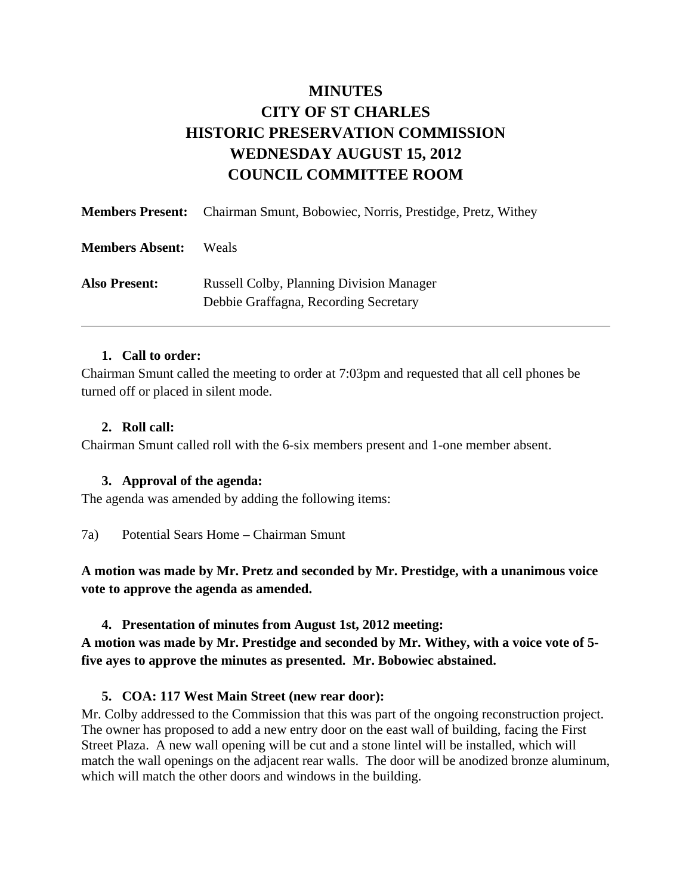# **MINUTES CITY OF ST CHARLES HISTORIC PRESERVATION COMMISSION WEDNESDAY AUGUST 15, 2012 COUNCIL COMMITTEE ROOM**

|                        | <b>Members Present:</b> Chairman Smunt, Bobowiec, Norris, Prestidge, Pretz, Withey       |
|------------------------|------------------------------------------------------------------------------------------|
| <b>Members Absent:</b> | Weals                                                                                    |
| <b>Also Present:</b>   | <b>Russell Colby, Planning Division Manager</b><br>Debbie Graffagna, Recording Secretary |

#### **1. Call to order:**

Chairman Smunt called the meeting to order at 7:03pm and requested that all cell phones be turned off or placed in silent mode.

#### **2. Roll call:**

Chairman Smunt called roll with the 6-six members present and 1-one member absent.

# **3. Approval of the agenda:**

The agenda was amended by adding the following items:

7a) Potential Sears Home – Chairman Smunt

**A motion was made by Mr. Pretz and seconded by Mr. Prestidge, with a unanimous voice vote to approve the agenda as amended.** 

# **4. Presentation of minutes from August 1st, 2012 meeting:**

**A motion was made by Mr. Prestidge and seconded by Mr. Withey, with a voice vote of 5 five ayes to approve the minutes as presented. Mr. Bobowiec abstained.** 

# **5. COA: 117 West Main Street (new rear door):**

Mr. Colby addressed to the Commission that this was part of the ongoing reconstruction project. The owner has proposed to add a new entry door on the east wall of building, facing the First Street Plaza. A new wall opening will be cut and a stone lintel will be installed, which will match the wall openings on the adjacent rear walls. The door will be anodized bronze aluminum, which will match the other doors and windows in the building.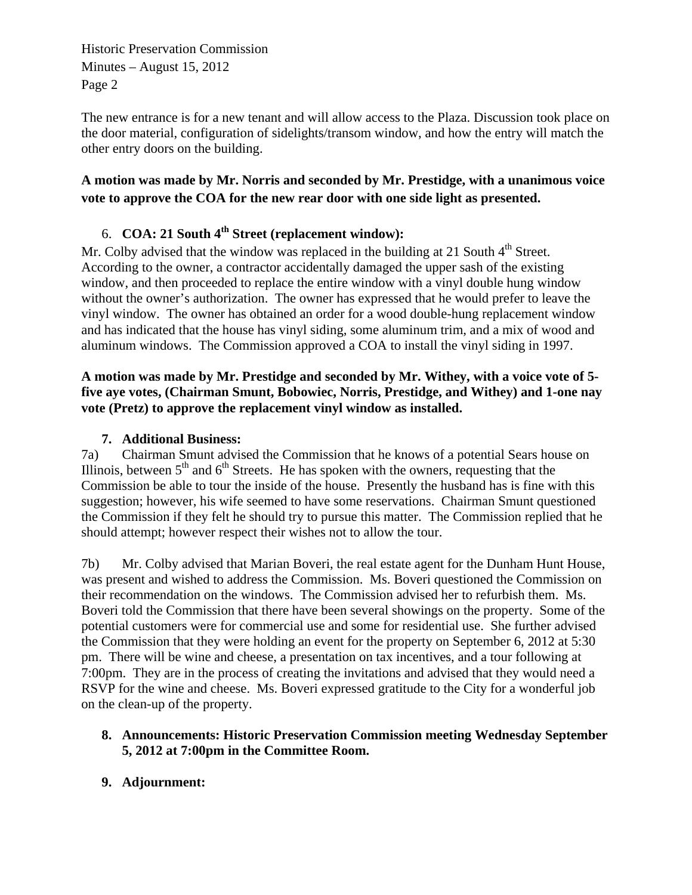Historic Preservation Commission Minutes – August 15, 2012 Page 2

The new entrance is for a new tenant and will allow access to the Plaza. Discussion took place on the door material, configuration of sidelights/transom window, and how the entry will match the other entry doors on the building.

# **A motion was made by Mr. Norris and seconded by Mr. Prestidge, with a unanimous voice vote to approve the COA for the new rear door with one side light as presented.**

# 6. **COA: 21 South 4th Street (replacement window):**

Mr. Colby advised that the window was replaced in the building at 21 South  $4<sup>th</sup>$  Street. According to the owner, a contractor accidentally damaged the upper sash of the existing window, and then proceeded to replace the entire window with a vinyl double hung window without the owner's authorization. The owner has expressed that he would prefer to leave the vinyl window. The owner has obtained an order for a wood double-hung replacement window and has indicated that the house has vinyl siding, some aluminum trim, and a mix of wood and aluminum windows. The Commission approved a COA to install the vinyl siding in 1997.

#### **A motion was made by Mr. Prestidge and seconded by Mr. Withey, with a voice vote of 5 five aye votes, (Chairman Smunt, Bobowiec, Norris, Prestidge, and Withey) and 1-one nay vote (Pretz) to approve the replacement vinyl window as installed.**

# **7. Additional Business:**

7a) Chairman Smunt advised the Commission that he knows of a potential Sears house on Illinois, between  $5<sup>th</sup>$  and  $6<sup>th</sup>$  Streets. He has spoken with the owners, requesting that the Commission be able to tour the inside of the house. Presently the husband has is fine with this suggestion; however, his wife seemed to have some reservations. Chairman Smunt questioned the Commission if they felt he should try to pursue this matter. The Commission replied that he should attempt; however respect their wishes not to allow the tour.

7b) Mr. Colby advised that Marian Boveri, the real estate agent for the Dunham Hunt House, was present and wished to address the Commission. Ms. Boveri questioned the Commission on their recommendation on the windows. The Commission advised her to refurbish them. Ms. Boveri told the Commission that there have been several showings on the property. Some of the potential customers were for commercial use and some for residential use. She further advised the Commission that they were holding an event for the property on September 6, 2012 at 5:30 pm. There will be wine and cheese, a presentation on tax incentives, and a tour following at 7:00pm. They are in the process of creating the invitations and advised that they would need a RSVP for the wine and cheese. Ms. Boveri expressed gratitude to the City for a wonderful job on the clean-up of the property.

# **8. Announcements: Historic Preservation Commission meeting Wednesday September 5, 2012 at 7:00pm in the Committee Room.**

**9. Adjournment:**